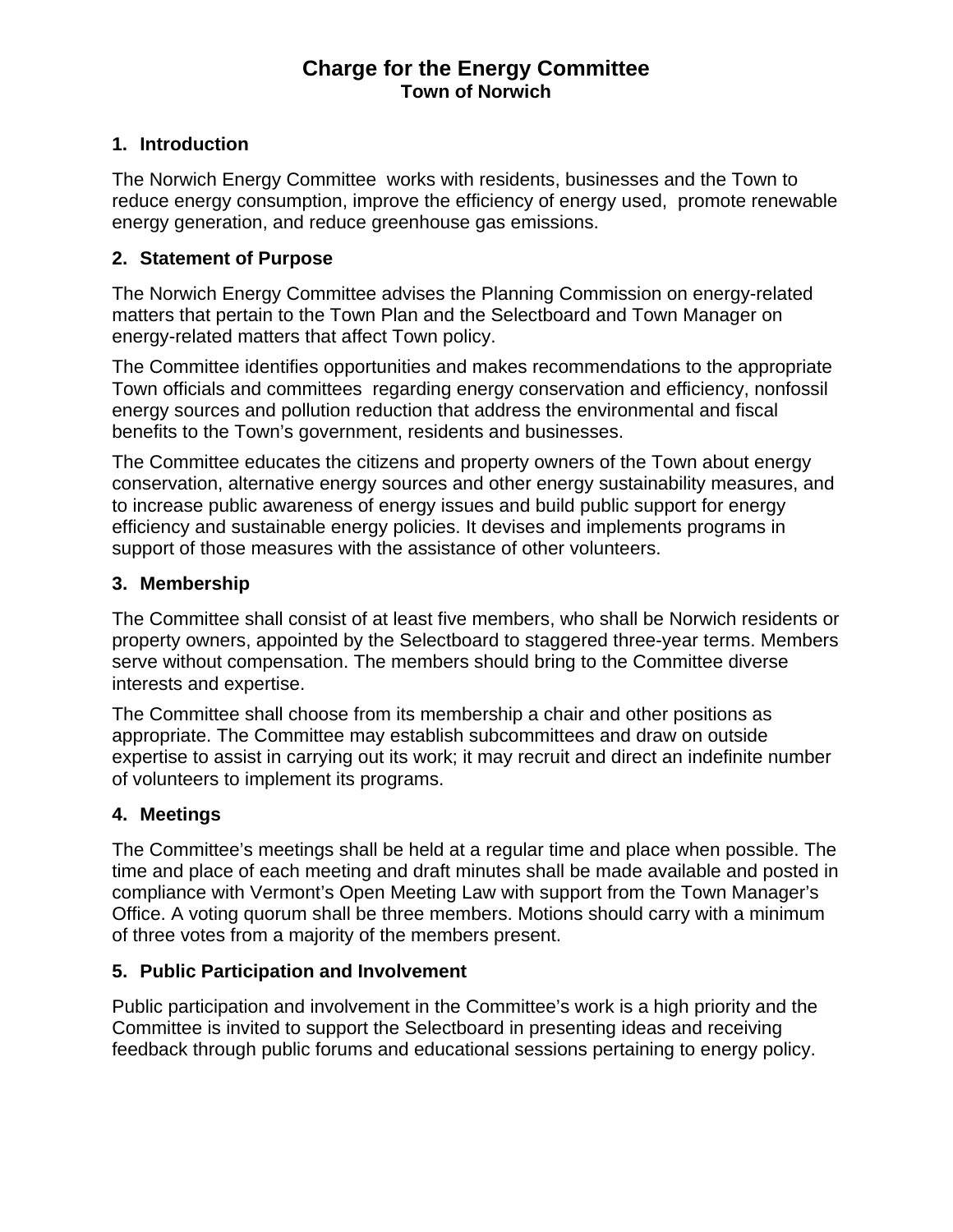# **Charge for the Energy Committee Town of Norwich**

# **1. Introduction**

The Norwich Energy Committee works with residents, businesses and the Town to reduce energy consumption, improve the efficiency of energy used, promote renewable energy generation, and reduce greenhouse gas emissions.

### **2. Statement of Purpose**

The Norwich Energy Committee advises the Planning Commission on energy-related matters that pertain to the Town Plan and the Selectboard and Town Manager on energy-related matters that affect Town policy.

The Committee identifies opportunities and makes recommendations to the appropriate Town officials and committees regarding energy conservation and efficiency, nonfossil energy sources and pollution reduction that address the environmental and fiscal benefits to the Town's government, residents and businesses.

The Committee educates the citizens and property owners of the Town about energy conservation, alternative energy sources and other energy sustainability measures, and to increase public awareness of energy issues and build public support for energy efficiency and sustainable energy policies. It devises and implements programs in support of those measures with the assistance of other volunteers.

### **3. Membership**

The Committee shall consist of at least five members, who shall be Norwich residents or property owners, appointed by the Selectboard to staggered three-year terms. Members serve without compensation. The members should bring to the Committee diverse interests and expertise.

The Committee shall choose from its membership a chair and other positions as appropriate. The Committee may establish subcommittees and draw on outside expertise to assist in carrying out its work; it may recruit and direct an indefinite number of volunteers to implement its programs.

# **4. Meetings**

The Committee's meetings shall be held at a regular time and place when possible. The time and place of each meeting and draft minutes shall be made available and posted in compliance with Vermont's Open Meeting Law with support from the Town Manager's Office. A voting quorum shall be three members. Motions should carry with a minimum of three votes from a majority of the members present.

### **5. Public Participation and Involvement**

Public participation and involvement in the Committee's work is a high priority and the Committee is invited to support the Selectboard in presenting ideas and receiving feedback through public forums and educational sessions pertaining to energy policy.